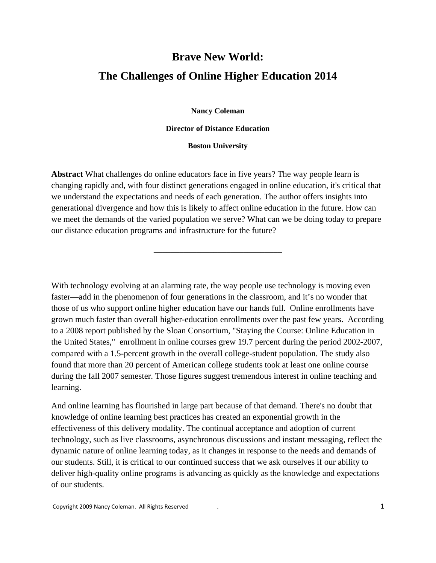## **Brave New World: The Challenges of Online Higher Education 2014**

**Nancy Coleman** 

**Director of Distance Education** 

## **Boston University**

**Abstract** What challenges do online educators face in five years? The way people learn is changing rapidly and, with four distinct generations engaged in online education, it's critical that we understand the expectations and needs of each generation. The author offers insights into generational divergence and how this is likely to affect online education in the future. How can we meet the demands of the varied population we serve? What can we be doing today to prepare our distance education programs and infrastructure for the future?

\_\_\_\_\_\_\_\_\_\_\_\_\_\_\_\_\_\_\_\_\_\_\_\_\_\_\_\_\_\_

With technology evolving at an alarming rate, the way people use technology is moving even faster—add in the phenomenon of four generations in the classroom, and it's no wonder that those of us who support online higher education have our hands full. Online enrollments have grown much faster than overall higher-education enrollments over the past few years. According to a 2008 report published by the Sloan Consortium, "Staying the Course: Online Education in the United States," enrollment in online courses grew 19.7 percent during the period 2002-2007, compared with a 1.5-percent growth in the overall college-student population. The study also found that more than 20 percent of American college students took at least one online course during the fall 2007 semester. Those figures suggest tremendous interest in online teaching and learning.

And online learning has flourished in large part because of that demand. There's no doubt that knowledge of online learning best practices has created an exponential growth in the effectiveness of this delivery modality. The continual acceptance and adoption of current technology, such as live classrooms, asynchronous discussions and instant messaging, reflect the dynamic nature of online learning today, as it changes in response to the needs and demands of our students. Still, it is critical to our continued success that we ask ourselves if our ability to deliver high-quality online programs is advancing as quickly as the knowledge and expectations of our students.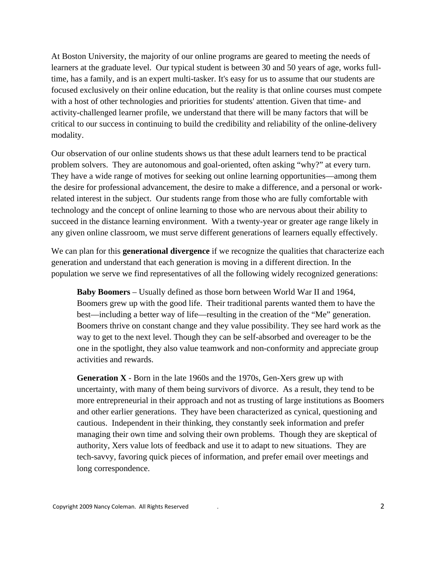At Boston University, the majority of our online programs are geared to meeting the needs of learners at the graduate level. Our typical student is between 30 and 50 years of age, works fulltime, has a family, and is an expert multi-tasker. It's easy for us to assume that our students are focused exclusively on their online education, but the reality is that online courses must compete with a host of other technologies and priorities for students' attention. Given that time- and activity-challenged learner profile, we understand that there will be many factors that will be critical to our success in continuing to build the credibility and reliability of the online-delivery modality.

Our observation of our online students shows us that these adult learners tend to be practical problem solvers. They are autonomous and goal-oriented, often asking "why?" at every turn. They have a wide range of motives for seeking out online learning opportunities—among them the desire for professional advancement, the desire to make a difference, and a personal or workrelated interest in the subject. Our students range from those who are fully comfortable with technology and the concept of online learning to those who are nervous about their ability to succeed in the distance learning environment. With a twenty-year or greater age range likely in any given online classroom, we must serve different generations of learners equally effectively.

We can plan for this **generational divergence** if we recognize the qualities that characterize each generation and understand that each generation is moving in a different direction. In the population we serve we find representatives of all the following widely recognized generations:

**Baby Boomers** – Usually defined as those born between World War II and 1964, Boomers grew up with the good life. Their traditional parents wanted them to have the best—including a better way of life—resulting in the creation of the "Me" generation. Boomers thrive on constant change and they value possibility. They see hard work as the way to get to the next level. Though they can be self-absorbed and overeager to be the one in the spotlight, they also value teamwork and non-conformity and appreciate group activities and rewards.

**Generation X** - Born in the late 1960s and the 1970s, Gen-Xers grew up with uncertainty, with many of them being survivors of divorce. As a result, they tend to be more entrepreneurial in their approach and not as trusting of large institutions as Boomers and other earlier generations. They have been characterized as cynical, questioning and cautious. Independent in their thinking, they constantly seek information and prefer managing their own time and solving their own problems. Though they are skeptical of authority, Xers value lots of feedback and use it to adapt to new situations. They are tech-savvy, favoring quick pieces of information, and prefer email over meetings and long correspondence.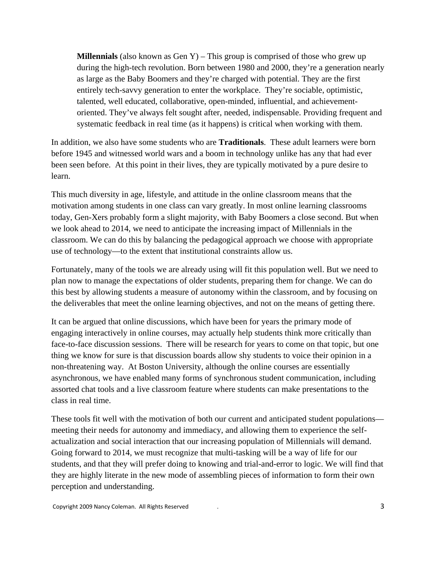**Millennials** (also known as Gen Y) – This group is comprised of those who grew up during the high-tech revolution. Born between 1980 and 2000, they're a generation nearly as large as the Baby Boomers and they're charged with potential. They are the first entirely tech-savvy generation to enter the workplace. They're sociable, optimistic, talented, well educated, collaborative, open-minded, influential, and achievementoriented. They've always felt sought after, needed, indispensable. Providing frequent and systematic feedback in real time (as it happens) is critical when working with them.

In addition, we also have some students who are **Traditionals**. These adult learners were born before 1945 and witnessed world wars and a boom in technology unlike has any that had ever been seen before. At this point in their lives, they are typically motivated by a pure desire to learn.

This much diversity in age, lifestyle, and attitude in the online classroom means that the motivation among students in one class can vary greatly. In most online learning classrooms today, Gen-Xers probably form a slight majority, with Baby Boomers a close second. But when we look ahead to 2014, we need to anticipate the increasing impact of Millennials in the classroom. We can do this by balancing the pedagogical approach we choose with appropriate use of technology—to the extent that institutional constraints allow us.

Fortunately, many of the tools we are already using will fit this population well. But we need to plan now to manage the expectations of older students, preparing them for change. We can do this best by allowing students a measure of autonomy within the classroom, and by focusing on the deliverables that meet the online learning objectives, and not on the means of getting there.

It can be argued that online discussions, which have been for years the primary mode of engaging interactively in online courses, may actually help students think more critically than face-to-face discussion sessions. There will be research for years to come on that topic, but one thing we know for sure is that discussion boards allow shy students to voice their opinion in a non-threatening way. At Boston University, although the online courses are essentially asynchronous, we have enabled many forms of synchronous student communication, including assorted chat tools and a live classroom feature where students can make presentations to the class in real time.

These tools fit well with the motivation of both our current and anticipated student populations meeting their needs for autonomy and immediacy, and allowing them to experience the selfactualization and social interaction that our increasing population of Millennials will demand. Going forward to 2014, we must recognize that multi-tasking will be a way of life for our students, and that they will prefer doing to knowing and trial-and-error to logic. We will find that they are highly literate in the new mode of assembling pieces of information to form their own perception and understanding.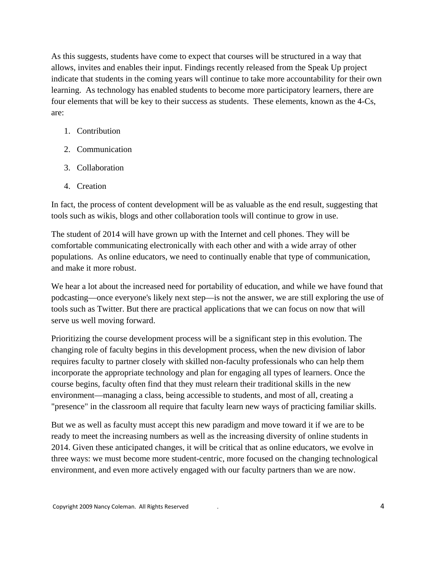As this suggests, students have come to expect that courses will be structured in a way that allows, invites and enables their input. Findings recently released from the Speak Up project indicate that students in the coming years will continue to take more accountability for their own learning. As technology has enabled students to become more participatory learners, there are four elements that will be key to their success as students. These elements, known as the 4-Cs, are:

- 1. Contribution
- 2. Communication
- 3. Collaboration
- 4. Creation

In fact, the process of content development will be as valuable as the end result, suggesting that tools such as wikis, blogs and other collaboration tools will continue to grow in use.

The student of 2014 will have grown up with the Internet and cell phones. They will be comfortable communicating electronically with each other and with a wide array of other populations. As online educators, we need to continually enable that type of communication, and make it more robust.

We hear a lot about the increased need for portability of education, and while we have found that podcasting—once everyone's likely next step—is not the answer, we are still exploring the use of tools such as Twitter. But there are practical applications that we can focus on now that will serve us well moving forward.

Prioritizing the course development process will be a significant step in this evolution. The changing role of faculty begins in this development process, when the new division of labor requires faculty to partner closely with skilled non-faculty professionals who can help them incorporate the appropriate technology and plan for engaging all types of learners. Once the course begins, faculty often find that they must relearn their traditional skills in the new environment—managing a class, being accessible to students, and most of all, creating a "presence" in the classroom all require that faculty learn new ways of practicing familiar skills.

But we as well as faculty must accept this new paradigm and move toward it if we are to be ready to meet the increasing numbers as well as the increasing diversity of online students in 2014. Given these anticipated changes, it will be critical that as online educators, we evolve in three ways: we must become more student-centric, more focused on the changing technological environment, and even more actively engaged with our faculty partners than we are now.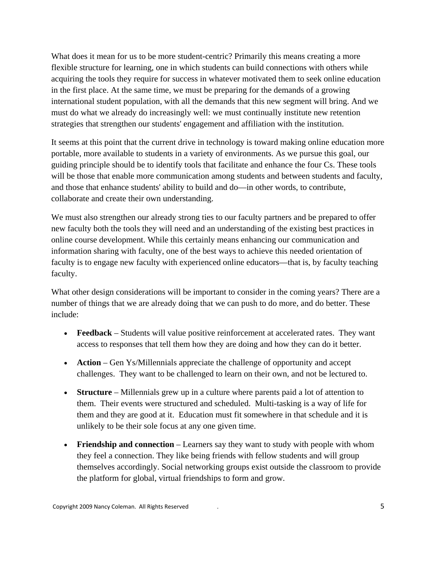What does it mean for us to be more student-centric? Primarily this means creating a more flexible structure for learning, one in which students can build connections with others while acquiring the tools they require for success in whatever motivated them to seek online education in the first place. At the same time, we must be preparing for the demands of a growing international student population, with all the demands that this new segment will bring. And we must do what we already do increasingly well: we must continually institute new retention strategies that strengthen our students' engagement and affiliation with the institution.

It seems at this point that the current drive in technology is toward making online education more portable, more available to students in a variety of environments. As we pursue this goal, our guiding principle should be to identify tools that facilitate and enhance the four Cs. These tools will be those that enable more communication among students and between students and faculty, and those that enhance students' ability to build and do—in other words, to contribute, collaborate and create their own understanding.

We must also strengthen our already strong ties to our faculty partners and be prepared to offer new faculty both the tools they will need and an understanding of the existing best practices in online course development. While this certainly means enhancing our communication and information sharing with faculty, one of the best ways to achieve this needed orientation of faculty is to engage new faculty with experienced online educators—that is, by faculty teaching faculty.

What other design considerations will be important to consider in the coming years? There are a number of things that we are already doing that we can push to do more, and do better. These include:

- **Feedback**  Students will value positive reinforcement at accelerated rates. They want access to responses that tell them how they are doing and how they can do it better.
- **Action**  Gen Ys/Millennials appreciate the challenge of opportunity and accept challenges. They want to be challenged to learn on their own, and not be lectured to.
- **Structure**  Millennials grew up in a culture where parents paid a lot of attention to them. Their events were structured and scheduled. Multi-tasking is a way of life for them and they are good at it. Education must fit somewhere in that schedule and it is unlikely to be their sole focus at any one given time.
- **Friendship and connection** Learners say they want to study with people with whom they feel a connection. They like being friends with fellow students and will group themselves accordingly. Social networking groups exist outside the classroom to provide the platform for global, virtual friendships to form and grow.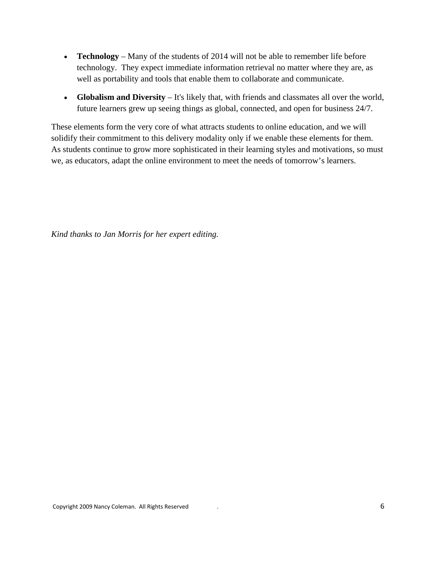- **Technology** Many of the students of 2014 will not be able to remember life before technology. They expect immediate information retrieval no matter where they are, as well as portability and tools that enable them to collaborate and communicate.
- **Globalism and Diversity** It's likely that, with friends and classmates all over the world, future learners grew up seeing things as global, connected, and open for business 24/7.

These elements form the very core of what attracts students to online education, and we will solidify their commitment to this delivery modality only if we enable these elements for them. As students continue to grow more sophisticated in their learning styles and motivations, so must we, as educators, adapt the online environment to meet the needs of tomorrow's learners.

*Kind thanks to Jan Morris for her expert editing.*